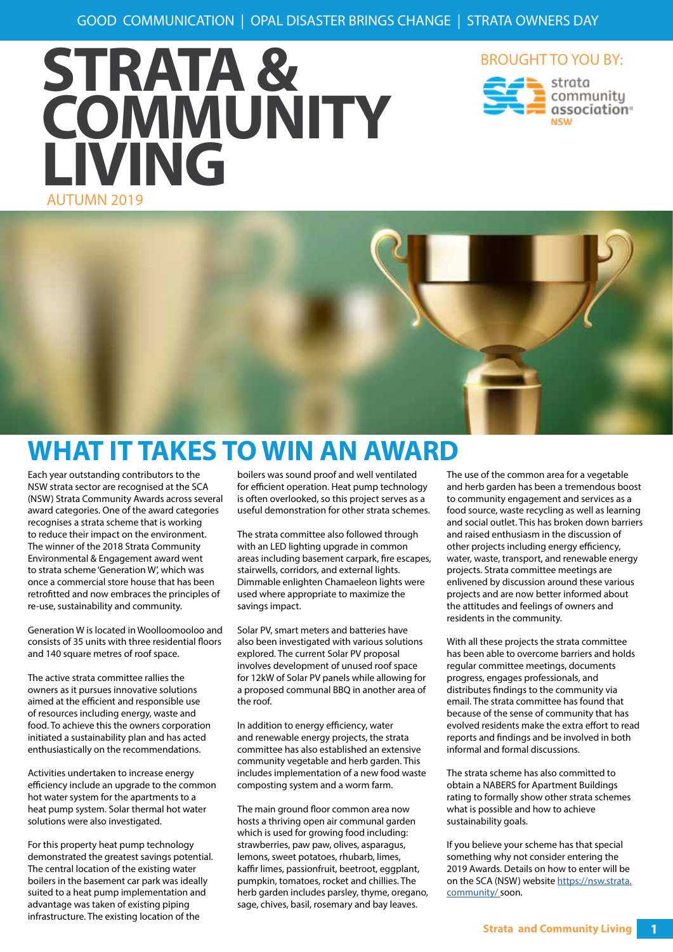







### **WHAT IT TAKES TO WIN AN AWARD**

Each year outstanding contributors to the NSW strata sector are recognised at the SCA (NSW) Strata Community Awards across several award categories. One of the award categories recognises a strata scheme that is working to reduce their impact on the environment. The winner of the 2018 Strata Community Environmental & Engagement award went to strata scheme 'Generation W', which was once a commercial store house that has been retrofitted and now embraces the principles of re-use, sustainability and community.

Generation W is located in Woolloomooloo and consists of 35 units with three residential floors and 140 square metres of roof space.

The active strata committee rallies the owners as it pursues innovative solutions aimed at the efficient and responsible use of resources including energy, waste and food. To achieve this the owners corporation initiated a sustainability plan and has acted enthusiastically on the recommendations.

Activities undertaken to increase energy efficiency include an upgrade to the common hot water system for the apartments to a heat pump system. Solar thermal hot water solutions were also investigated.

For this property heat pump technology demonstrated the greatest savings potential. The central location of the existing water boilers in the basement car park was ideally suited to a heat pump implementation and advantage was taken of existing piping infrastructure. The existing location of the

boilers was sound proof and well ventilated for efficient operation. Heat pump technology is often overlooked, so this project serves as a useful demonstration for other strata schemes.

The strata committee also followed through with an LED lighting upgrade in common areas including basement carpark, fire escapes, stairwells, corridors, and external lights. Dimmable enlighten Chamaeleon lights were used where appropriate to maximize the savings impact.

Solar PV, smart meters and batteries have also been investigated with various solutions explored. The current Solar PV proposal involves development of unused roof space for 12kW of Solar PV panels while allowing for a proposed communal BBQ in another area of the roof.

In addition to energy efficiency, water and renewable energy projects, the strata committee has also established an extensive community vegetable and herb garden. This includes implementation of a new food waste composting system and a worm farm.

The main ground floor common area now hosts a thriving open air communal garden which is used for growing food including: strawberries, paw paw, olives, asparagus, lemons, sweet potatoes, rhubarb, limes, kaffir limes, passionfruit, beetroot, eggplant, pumpkin, tomatoes, rocket and chillies. The herb garden includes parsley, thyme, oregano, sage, chives, basil, rosemary and bay leaves.

The use of the common area for a vegetable and herb garden has been a tremendous boost to community engagement and services as a food source, waste recycling as well as learning and social outlet. This has broken down barriers and raised enthusiasm in the discussion of other projects including energy efficiency, water, waste, transport, and renewable energy projects. Strata committee meetings are enlivened by discussion around these various projects and are now better informed about the attitudes and feelings of owners and residents in the community.

With all these projects the strata committee has been able to overcome barriers and holds regular committee meetings, documents progress, engages professionals, and distributes findings to the community via email. The strata committee has found that because of the sense of community that has evolved residents make the extra effort to read reports and findings and be involved in both informal and formal discussions.

The strata scheme has also committed to obtain a NABERS for Apartment Buildings rating to formally show other strata schemes what is possible and how to achieve sustainability goals.

If you believe your scheme has that special something why not consider entering the 2019 Awards. Details on how to enter will be on the SCA (NSW) website [https://nsw.strata.](https://nsw.strata.community/) [community/ s](https://nsw.strata.community/)oon.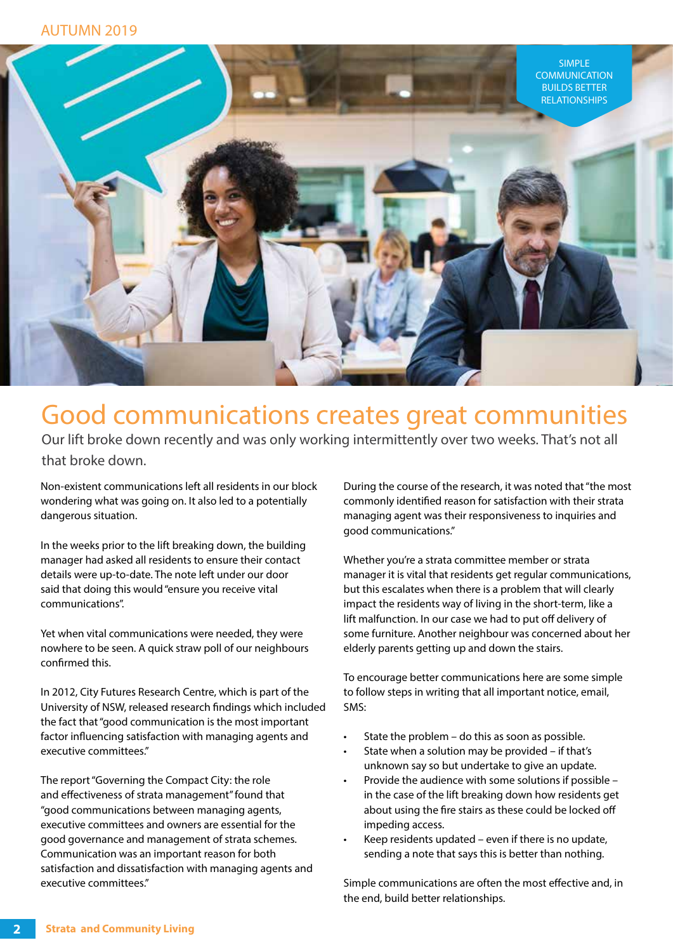

#### Good communications creates great communities

Our lift broke down recently and was only working intermittently over two weeks. That's not all that broke down.

Non-existent communications left all residents in our block wondering what was going on. It also led to a potentially dangerous situation.

In the weeks prior to the lift breaking down, the building manager had asked all residents to ensure their contact details were up-to-date. The note left under our door said that doing this would "ensure you receive vital communications".

Yet when vital communications were needed, they were nowhere to be seen. A quick straw poll of our neighbours confirmed this.

In 2012, City Futures Research Centre, which is part of the University of NSW, released research findings which included the fact that "good communication is the most important factor influencing satisfaction with managing agents and executive committees."

The report "Governing the Compact City: the role and effectiveness of strata management" found that "good communications between managing agents, executive committees and owners are essential for the good governance and management of strata schemes. Communication was an important reason for both satisfaction and dissatisfaction with managing agents and executive committees."

During the course of the research, it was noted that "the most commonly identified reason for satisfaction with their strata managing agent was their responsiveness to inquiries and good communications."

Whether you're a strata committee member or strata manager it is vital that residents get regular communications, but this escalates when there is a problem that will clearly impact the residents way of living in the short-term, like a lift malfunction. In our case we had to put off delivery of some furniture. Another neighbour was concerned about her elderly parents getting up and down the stairs.

To encourage better communications here are some simple to follow steps in writing that all important notice, email, SMS:

- State the problem do this as soon as possible.
- State when a solution may be provided if that's unknown say so but undertake to give an update.
- Provide the audience with some solutions if possible in the case of the lift breaking down how residents get about using the fire stairs as these could be locked off impeding access.
- Keep residents updated even if there is no update, sending a note that says this is better than nothing.

Simple communications are often the most effective and, in the end, build better relationships.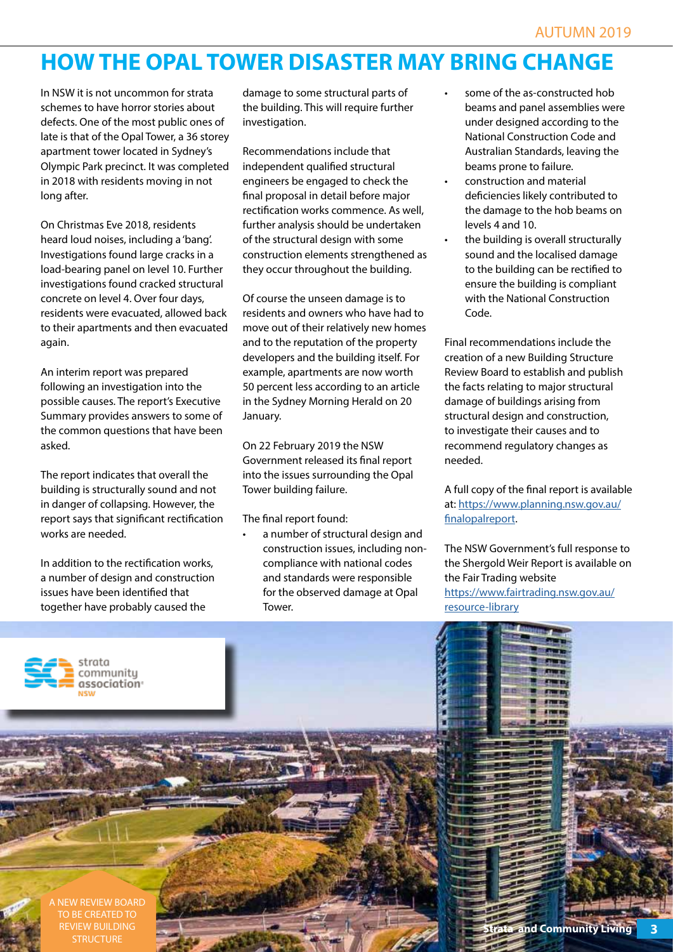#### **HOW THE OPAL TOWER DISASTER MAY BRING CHANGE**

In NSW it is not uncommon for strata schemes to have horror stories about defects. One of the most public ones of late is that of the Opal Tower, a 36 storey apartment tower located in Sydney's Olympic Park precinct. It was completed in 2018 with residents moving in not long after.

On Christmas Eve 2018, residents heard loud noises, including a 'bang'. Investigations found large cracks in a load-bearing panel on level 10. Further investigations found cracked structural concrete on level 4. Over four days, residents were evacuated, allowed back to their apartments and then evacuated again.

An interim report was prepared following an investigation into the possible causes. The report's Executive Summary provides answers to some of the common questions that have been asked.

The report indicates that overall the building is structurally sound and not in danger of collapsing. However, the report says that significant rectification works are needed.

In addition to the rectification works, a number of design and construction issues have been identified that together have probably caused the

> communitu association<sup>®</sup>

damage to some structural parts of the building. This will require further investigation.

Recommendations include that independent qualified structural engineers be engaged to check the final proposal in detail before major rectification works commence. As well, further analysis should be undertaken of the structural design with some construction elements strengthened as they occur throughout the building.

Of course the unseen damage is to residents and owners who have had to move out of their relatively new homes and to the reputation of the property developers and the building itself. For example, apartments are now worth 50 percent less according to an article in the Sydney Morning Herald on 20 January.

On 22 February 2019 the NSW Government released its final report into the issues surrounding the Opal Tower building failure.

The final report found:

• a number of structural design and construction issues, including noncompliance with national codes and standards were responsible for the observed damage at Opal **Tower** 

- some of the as-constructed hob beams and panel assemblies were under designed according to the National Construction Code and Australian Standards, leaving the beams prone to failure.
- construction and material deficiencies likely contributed to the damage to the hob beams on levels 4 and 10.
- the building is overall structurally sound and the localised damage to the building can be rectified to ensure the building is compliant with the National Construction Code.

Final recommendations include the creation of a new Building Structure Review Board to establish and publish the facts relating to major structural damage of buildings arising from structural design and construction, to investigate their causes and to recommend regulatory changes as needed.

A full copy of the final report is available at: [https://www.planning.nsw.gov.au/](https://www.planning.nsw.gov.au/finalopalreport) [finalopalreport.](https://www.planning.nsw.gov.au/finalopalreport)

The NSW Government's full response to the Shergold Weir Report is available on the Fair Trading website

[https://www.fairtrading.nsw.gov.au/](https://www.fairtrading.nsw.gov.au/resource-library/reports/nsw-government-response-to-the-shergold-weir-building-confidence-report
) [resource-library](https://www.fairtrading.nsw.gov.au/resource-library/reports/nsw-government-response-to-the-shergold-weir-building-confidence-report
)